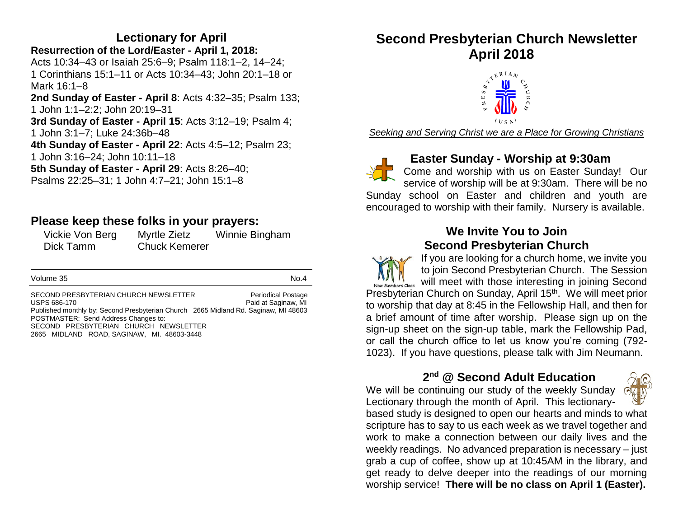# **Lectionary for April**

**Resurrection of the Lord/Easter - April 1, 2018:**  Acts 10:34–43 or Isaiah 25:6–9; Psalm 118:1–2, 14–24; 1 Corinthians 15:1–11 or Acts 10:34–43; John 20:1–18 or Mark 16:1–8 **2nd Sunday of Easter - April 8**: Acts 4:32–35; Psalm 133; 1 John 1:1–2:2; John 20:19–31 **3rd Sunday of Easter - April 15**: Acts 3:12–19; Psalm 4; 1 John 3:1–7; Luke 24:36b–48 **4th Sunday of Easter - April 22**: Acts 4:5–12; Psalm 23; 1 John 3:16–24; John 10:11–18

**5th Sunday of Easter - April 29**: Acts 8:26–40;

Psalms 22:25–31; 1 John 4:7–21; John 15:1–8

### **Please keep these folks in your prayers:**

| Vickie Von Berg | <b>Myrtle Zietz</b>  | Winnie Bingham |
|-----------------|----------------------|----------------|
| Dick Tamm       | <b>Chuck Kemerer</b> |                |

Volume 35 No.4

SECOND PRESBYTERIAN CHURCH NEWSLETTER Periodical Postage USPS 686-170 **Paid at Saginaw, MI** Published monthly by: Second Presbyterian Church 2665 Midland Rd. Saginaw, MI 48603 POSTMASTER: Send Address Changes to: SECOND PRESBYTERIAN CHURCH NEWSLETTER 2665 MIDLAND ROAD, SAGINAW, MI. 48603-3448

# **Second Presbyterian Church Newsletter April 2018**



*Seeking and Serving Christ we are a Place for Growing Christians*



### **Easter Sunday - Worship at 9:30am**

Come and worship with us on Easter Sunday! Our service of worship will be at 9:30am. There will be no

Sunday school on Easter and children and youth are encouraged to worship with their family. Nursery is available.

#### **We Invite You to Join Second Presbyterian Church**

If you are looking for a church home, we invite you to join Second Presbyterian Church. The Session will meet with those interesting in joining Second Presbyterian Church on Sunday, April 15<sup>th</sup>. We will meet prior to worship that day at 8:45 in the Fellowship Hall, and then for a brief amount of time after worship. Please sign up on the sign-up sheet on the sign-up table, mark the Fellowship Pad, or call the church office to let us know you're coming (792- 1023). If you have questions, please talk with Jim Neumann.

#### **2 nd @ Second Adult Education**

We will be continuing our study of the weekly Sunday Lectionary through the month of April. This lectionary-

based study is designed to open our hearts and minds to what scripture has to say to us each week as we travel together and work to make a connection between our daily lives and the weekly readings. No advanced preparation is necessary – just grab a cup of coffee, show up at 10:45AM in the library, and get ready to delve deeper into the readings of our morning worship service! **There will be no class on April 1 (Easter).**

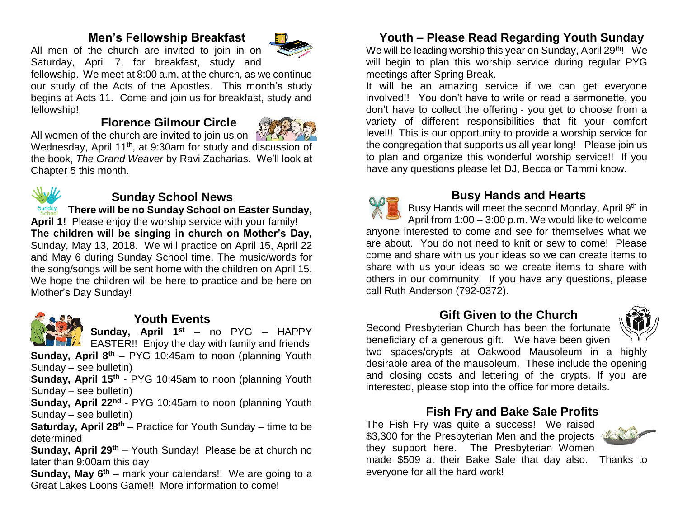### **Men's Fellowship Breakfast**

All men of the church are invited to join in on Saturday, April 7, for breakfast, study and

fellowship. We meet at 8:00 a.m. at the church, as we continue our study of the Acts of the Apostles. This month's study begins at Acts 11. Come and join us for breakfast, study and fellowship!

# **Florence Gilmour Circle**



All women of the church are invited to join us on Wednesday, April 11<sup>th</sup>, at 9:30am for study and discussion of the book, *The Grand Weaver* by Ravi Zacharias. We'll look at Chapter 5 this month.



# **Sunday School News**

**<u>Sunday</u> There will be no Sunday School on Easter Sunday, April 1!** Please enjoy the worship service with your family! **The children will be singing in church on Mother's Day,** Sunday, May 13, 2018. We will practice on April 15, April 22 and May 6 during Sunday School time. The music/words for the song/songs will be sent home with the children on April 15. We hope the children will be here to practice and be here on Mother's Day Sunday!



### **Youth Events**

**Sunday, April 1st** – no PYG – HAPPY EASTER!! Enjoy the day with family and friends

**Sunday, April 8th** – PYG 10:45am to noon (planning Youth Sunday – see bulletin)

Sunday, April 15<sup>th</sup> - PYG 10:45am to noon (planning Youth Sunday – see bulletin)

Sunday, April 22<sup>nd</sup> - PYG 10:45am to noon (planning Youth Sunday – see bulletin)

**Saturday, April 28th** – Practice for Youth Sunday – time to be determined

**Sunday, April 29<sup>th</sup>** – Youth Sunday! Please be at church no later than 9:00am this day

**Sunday, May 6<sup>th</sup>** – mark your calendars!! We are going to a Great Lakes Loons Game!! More information to come!

# **Youth – Please Read Regarding Youth Sunday**

We will be leading worship this year on Sunday, April 29<sup>th</sup>! We will begin to plan this worship service during regular PYG meetings after Spring Break.

It will be an amazing service if we can get everyone involved!! You don't have to write or read a sermonette, you don't have to collect the offering - you get to choose from a variety of different responsibilities that fit your comfort level!! This is our opportunity to provide a worship service for the congregation that supports us all year long! Please join us to plan and organize this wonderful worship service!! If you have any questions please let DJ, Becca or Tammi know.



#### **Busy Hands and Hearts**

Busy Hands will meet the second Monday, April 9<sup>th</sup> in April from 1:00 – 3:00 p.m. We would like to welcome anyone interested to come and see for themselves what we are about. You do not need to knit or sew to come! Please come and share with us your ideas so we can create items to share with us your ideas so we create items to share with others in our community. If you have any questions, please call Ruth Anderson (792-0372).

### **Gift Given to the Church**

Second Presbyterian Church has been the fortunate



beneficiary of a generous gift. We have been given two spaces/crypts at Oakwood Mausoleum in a highly desirable area of the mausoleum. These include the opening and closing costs and lettering of the crypts. If you are interested, please stop into the office for more details.

### **Fish Fry and Bake Sale Profits**

The Fish Fry was quite a success! We raised \$3,300 for the Presbyterian Men and the projects they support here. The Presbyterian Women

made \$509 at their Bake Sale that day also. Thanks to everyone for all the hard work!

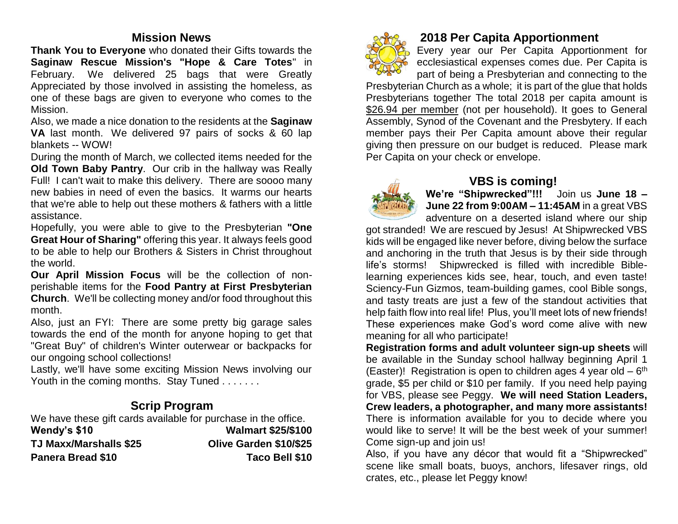### **Mission News**

**Thank You to Everyone** who donated their Gifts towards the **Saginaw Rescue Mission's "Hope & Care Totes**" in February. We delivered 25 bags that were Greatly Appreciated by those involved in assisting the homeless, as one of these bags are given to everyone who comes to the Mission.

Also, we made a nice donation to the residents at the **Saginaw VA** last month. We delivered 97 pairs of socks & 60 lap blankets -- WOW!

During the month of March, we collected items needed for the **Old Town Baby Pantry**. Our crib in the hallway was Really Full! I can't wait to make this delivery. There are soooo many new babies in need of even the basics. It warms our hearts that we're able to help out these mothers & fathers with a little assistance.

Hopefully, you were able to give to the Presbyterian **"One Great Hour of Sharing"** offering this year. It always feels good to be able to help our Brothers & Sisters in Christ throughout the world.

**Our April Mission Focus** will be the collection of nonperishable items for the **Food Pantry at First Presbyterian Church**. We'll be collecting money and/or food throughout this month.

Also, just an FYI: There are some pretty big garage sales towards the end of the month for anyone hoping to get that "Great Buy" of children's Winter outerwear or backpacks for our ongoing school collections!

Lastly, we'll have some exciting Mission News involving our Youth in the coming months. Stay Tuned . . . . . . .

## **Scrip Program**

| We have these gift cards available for purchase in the office. |                           |  |  |  |
|----------------------------------------------------------------|---------------------------|--|--|--|
| Wendy's \$10                                                   | <b>Walmart \$25/\$100</b> |  |  |  |
| <b>TJ Maxx/Marshalls \$25</b>                                  | Olive Garden \$10/\$25    |  |  |  |
| <b>Panera Bread \$10</b>                                       | Taco Bell \$10            |  |  |  |



# **2018 Per Capita Apportionment**

Every year our Per Capita Apportionment for ecclesiastical expenses comes due. Per Capita is part of being a Presbyterian and connecting to the

Presbyterian Church as a whole; it is part of the glue that holds Presbyterians together The total 2018 per capita amount is \$26.94 per member (not per household). It goes to General Assembly, Synod of the Covenant and the Presbytery. If each member pays their Per Capita amount above their regular giving then pressure on our budget is reduced. Please mark Per Capita on your check or envelope.



## **VBS is coming!**

**We're "Shipwrecked"!!!** Join us **June 18 – June 22 from 9:00AM – 11:45AM** in a great VBS adventure on a deserted island where our ship

got stranded! We are rescued by Jesus! At Shipwrecked VBS kids will be engaged like never before, diving below the surface and anchoring in the truth that Jesus is by their side through life's storms! Shipwrecked is filled with incredible Biblelearning experiences kids see, hear, touch, and even taste! Sciency-Fun Gizmos, team-building games, cool Bible songs, and tasty treats are just a few of the standout activities that help faith flow into real life! Plus, you'll meet lots of new friends! These experiences make God's word come alive with new meaning for all who participate!

**Registration forms and adult volunteer sign-up sheets** will be available in the Sunday school hallway beginning April 1 (Easter)! Registration is open to children ages 4 year old  $-6<sup>th</sup>$ grade, \$5 per child or \$10 per family. If you need help paying for VBS, please see Peggy. **We will need Station Leaders, Crew leaders, a photographer, and many more assistants!** There is information available for you to decide where you would like to serve! It will be the best week of your summer! Come sign-up and join us!

Also, if you have any décor that would fit a "Shipwrecked" scene like small boats, buoys, anchors, lifesaver rings, old crates, etc., please let Peggy know!